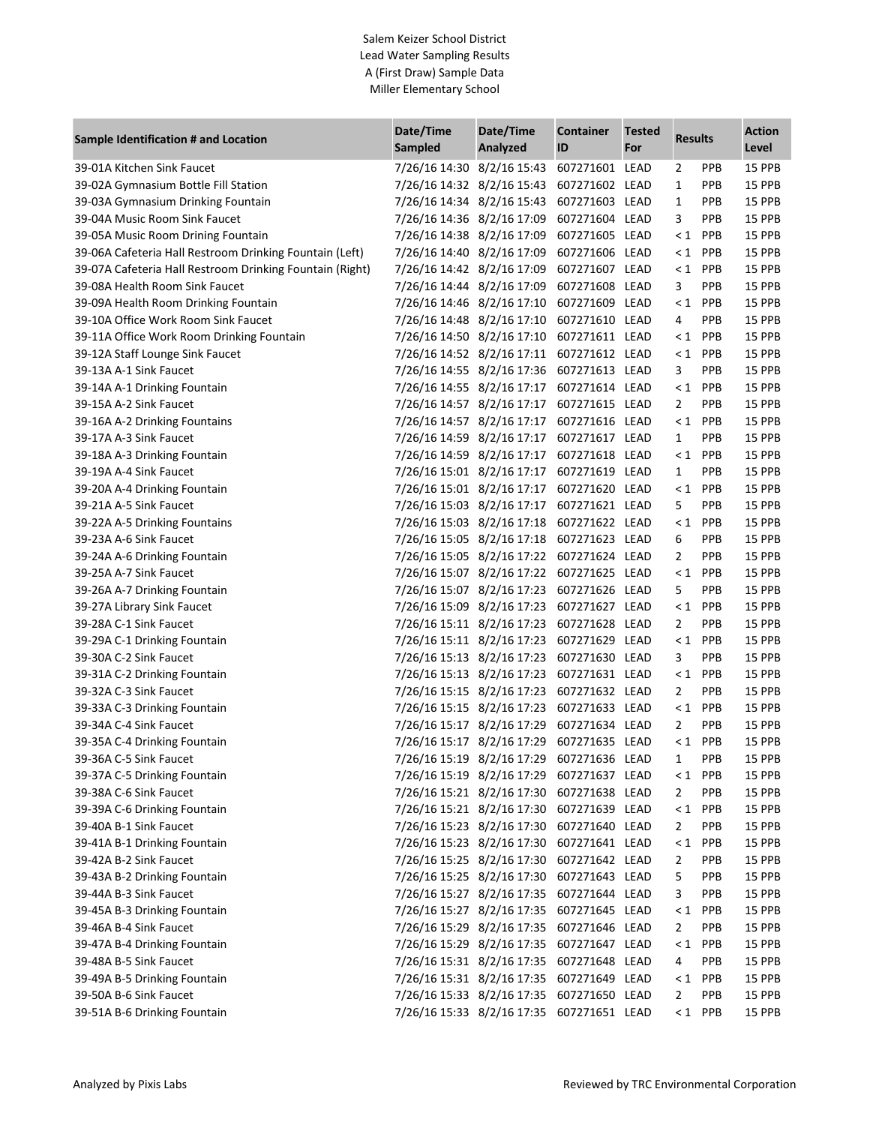## Salem Keizer School District Lead Water Sampling Results A (First Draw) Sample Data Miller Elementary School

|                                                          | Date/Time                                                               | Date/Time | <b>Container</b> | <b>Tested</b> |                |            | <b>Action</b>    |
|----------------------------------------------------------|-------------------------------------------------------------------------|-----------|------------------|---------------|----------------|------------|------------------|
| Sample Identification # and Location                     | Sampled                                                                 | Analyzed  | ID               | For           | <b>Results</b> |            | Level            |
| 39-01A Kitchen Sink Faucet                               | 7/26/16 14:30 8/2/16 15:43                                              |           | 607271601 LEAD   |               | $\overline{2}$ | <b>PPB</b> | 15 PPB           |
| 39-02A Gymnasium Bottle Fill Station                     | 7/26/16 14:32 8/2/16 15:43                                              |           | 607271602 LEAD   |               | $\mathbf{1}$   | <b>PPB</b> | 15 PPB           |
| 39-03A Gymnasium Drinking Fountain                       | 7/26/16 14:34 8/2/16 15:43                                              |           | 607271603 LEAD   |               | $\mathbf{1}$   | <b>PPB</b> | 15 PPB           |
| 39-04A Music Room Sink Faucet                            | 7/26/16 14:36 8/2/16 17:09                                              |           | 607271604 LEAD   |               | 3              | <b>PPB</b> | 15 PPB           |
| 39-05A Music Room Drining Fountain                       | 7/26/16 14:38 8/2/16 17:09                                              |           | 607271605 LEAD   |               | $\leq 1$       | <b>PPB</b> | 15 PPB           |
| 39-06A Cafeteria Hall Restroom Drinking Fountain (Left)  | 7/26/16 14:40 8/2/16 17:09                                              |           | 607271606 LEAD   |               | $\leq 1$       | <b>PPB</b> | 15 PPB           |
| 39-07A Cafeteria Hall Restroom Drinking Fountain (Right) | 7/26/16 14:42 8/2/16 17:09                                              |           | 607271607 LEAD   |               | $\leq 1$       | <b>PPB</b> | 15 PPB           |
| 39-08A Health Room Sink Faucet                           | 7/26/16 14:44 8/2/16 17:09                                              |           | 607271608 LEAD   |               | 3              | <b>PPB</b> | 15 PPB           |
| 39-09A Health Room Drinking Fountain                     | 7/26/16 14:46 8/2/16 17:10                                              |           | 607271609 LEAD   |               | $\leq 1$       | <b>PPB</b> | 15 PPB           |
| 39-10A Office Work Room Sink Faucet                      | 7/26/16 14:48 8/2/16 17:10                                              |           | 607271610 LEAD   |               | 4              | <b>PPB</b> | 15 PPB           |
| 39-11A Office Work Room Drinking Fountain                | 7/26/16 14:50 8/2/16 17:10                                              |           | 607271611 LEAD   |               | $\leq 1$       | <b>PPB</b> | 15 PPB           |
| 39-12A Staff Lounge Sink Faucet                          | 7/26/16 14:52 8/2/16 17:11                                              |           | 607271612 LEAD   |               | $\leq 1$       | <b>PPB</b> | 15 PPB           |
| 39-13A A-1 Sink Faucet                                   | 7/26/16 14:55 8/2/16 17:36                                              |           | 607271613 LEAD   |               | 3              | <b>PPB</b> | 15 PPB           |
| 39-14A A-1 Drinking Fountain                             | 7/26/16 14:55 8/2/16 17:17                                              |           | 607271614 LEAD   |               |                | $< 1$ PPB  | 15 PPB           |
| 39-15A A-2 Sink Faucet                                   | 7/26/16 14:57 8/2/16 17:17                                              |           | 607271615 LEAD   |               | $\overline{2}$ | <b>PPB</b> | 15 PPB           |
| 39-16A A-2 Drinking Fountains                            | 7/26/16 14:57 8/2/16 17:17                                              |           | 607271616 LEAD   |               |                | $< 1$ PPB  | 15 PPB           |
| 39-17A A-3 Sink Faucet                                   | 7/26/16 14:59 8/2/16 17:17                                              |           | 607271617 LEAD   |               | $\mathbf{1}$   | <b>PPB</b> | 15 PPB           |
| 39-18A A-3 Drinking Fountain                             | 7/26/16 14:59 8/2/16 17:17                                              |           | 607271618 LEAD   |               | $\leq 1$       | <b>PPB</b> | 15 PPB           |
| 39-19A A-4 Sink Faucet                                   | 7/26/16 15:01 8/2/16 17:17                                              |           | 607271619 LEAD   |               | $\mathbf{1}$   | <b>PPB</b> | 15 PPB           |
| 39-20A A-4 Drinking Fountain                             | 7/26/16 15:01 8/2/16 17:17                                              |           | 607271620 LEAD   |               | $\leq 1$       | <b>PPB</b> | 15 PPB           |
| 39-21A A-5 Sink Faucet                                   | 7/26/16 15:03 8/2/16 17:17                                              |           | 607271621 LEAD   |               | 5              | PPB        | 15 PPB           |
| 39-22A A-5 Drinking Fountains                            | 7/26/16 15:03 8/2/16 17:18                                              |           | 607271622 LEAD   |               | $\leq 1$       | PPB        | 15 PPB           |
| 39-23A A-6 Sink Faucet                                   | 7/26/16 15:05 8/2/16 17:18                                              |           | 607271623 LEAD   |               | 6              | PPB        | 15 PPB           |
| 39-24A A-6 Drinking Fountain                             | 7/26/16 15:05 8/2/16 17:22                                              |           | 607271624 LEAD   |               | $\overline{2}$ | <b>PPB</b> | 15 PPB           |
| 39-25A A-7 Sink Faucet                                   | 7/26/16 15:07 8/2/16 17:22                                              |           | 607271625 LEAD   |               | $\leq 1$       | <b>PPB</b> | 15 PPB           |
| 39-26A A-7 Drinking Fountain                             | 7/26/16 15:07 8/2/16 17:23                                              |           | 607271626 LEAD   |               | 5              | PPB        | 15 PPB           |
| 39-27A Library Sink Faucet                               | 7/26/16 15:09 8/2/16 17:23                                              |           | 607271627 LEAD   |               | $\leq 1$       | PPB        | 15 PPB           |
| 39-28A C-1 Sink Faucet                                   | 7/26/16 15:11 8/2/16 17:23                                              |           | 607271628 LEAD   |               | $\overline{2}$ | <b>PPB</b> | 15 PPB           |
| 39-29A C-1 Drinking Fountain                             | 7/26/16 15:11 8/2/16 17:23                                              |           | 607271629 LEAD   |               | $\leq 1$       | <b>PPB</b> | 15 PPB           |
| 39-30A C-2 Sink Faucet                                   | 7/26/16 15:13 8/2/16 17:23                                              |           | 607271630 LEAD   |               | 3              | <b>PPB</b> | 15 PPB           |
| 39-31A C-2 Drinking Fountain                             | 7/26/16 15:13 8/2/16 17:23                                              |           | 607271631 LEAD   |               | $\leq 1$       | <b>PPB</b> | 15 PPB           |
| 39-32A C-3 Sink Faucet                                   | 7/26/16 15:15 8/2/16 17:23                                              |           | 607271632 LEAD   |               | $\overline{2}$ | <b>PPB</b> | 15 PPB           |
| 39-33A C-3 Drinking Fountain                             | 7/26/16 15:15 8/2/16 17:23                                              |           | 607271633 LEAD   |               | $\leq 1$       | PPB        | 15 PPB           |
| 39-34A C-4 Sink Faucet                                   | 7/26/16 15:17 8/2/16 17:29 607271634 LEAD                               |           |                  |               | $\overline{2}$ | PPB        | 15 PPB           |
| 39-35A C-4 Drinking Fountain                             | 7/26/16 15:17 8/2/16 17:29 607271635 LEAD                               |           |                  |               |                | $< 1$ PPB  | 15 PPB           |
| 39-36A C-5 Sink Faucet                                   | 7/26/16 15:19 8/2/16 17:29 607271636 LEAD                               |           |                  |               | $\mathbf{1}$   | PPB        | 15 PPB           |
| 39-37A C-5 Drinking Fountain                             | 7/26/16 15:19 8/2/16 17:29 607271637 LEAD                               |           |                  |               | $\leq 1$       | PPB        | 15 PPB           |
| 39-38A C-6 Sink Faucet                                   | 7/26/16 15:21 8/2/16 17:30 607271638 LEAD                               |           |                  |               | $\overline{2}$ | <b>PPB</b> | 15 PPB           |
|                                                          | 7/26/16 15:21 8/2/16 17:30 607271639 LEAD                               |           |                  |               | $\leq 1$       | PPB        | 15 PPB           |
| 39-39A C-6 Drinking Fountain                             |                                                                         |           |                  |               | $\overline{2}$ | PPB        |                  |
| 39-40A B-1 Sink Faucet<br>39-41A B-1 Drinking Fountain   | 7/26/16 15:23 8/2/16 17:30 607271640 LEAD                               |           |                  |               |                | PPB        | 15 PPB           |
| 39-42A B-2 Sink Faucet                                   | 7/26/16 15:23 8/2/16 17:30 607271641 LEAD<br>7/26/16 15:25 8/2/16 17:30 |           | 607271642 LEAD   |               | $\leq 1$       | <b>PPB</b> | 15 PPB<br>15 PPB |
|                                                          |                                                                         |           |                  |               | 2              |            |                  |
| 39-43A B-2 Drinking Fountain<br>39-44A B-3 Sink Faucet   | 7/26/16 15:25 8/2/16 17:30                                              |           | 607271643 LEAD   |               | 5              | PPB        | 15 PPB           |
|                                                          | 7/26/16 15:27 8/2/16 17:35<br>7/26/16 15:27 8/2/16 17:35                |           | 607271644 LEAD   |               | 3              | PPB        | 15 PPB           |
| 39-45A B-3 Drinking Fountain                             |                                                                         |           | 607271645 LEAD   |               | $\leq 1$       | PPB        | 15 PPB           |
| 39-46A B-4 Sink Faucet                                   | 7/26/16 15:29 8/2/16 17:35                                              |           | 607271646 LEAD   |               | 2              | PPB        | 15 PPB           |
| 39-47A B-4 Drinking Fountain                             | 7/26/16 15:29 8/2/16 17:35                                              |           | 607271647 LEAD   |               | $\leq 1$       | PPB        | 15 PPB           |
| 39-48A B-5 Sink Faucet                                   | 7/26/16 15:31 8/2/16 17:35                                              |           | 607271648 LEAD   |               | 4              | PPB        | 15 PPB           |
| 39-49A B-5 Drinking Fountain                             | 7/26/16 15:31 8/2/16 17:35                                              |           | 607271649 LEAD   |               | $\leq 1$       | PPB        | 15 PPB           |
| 39-50A B-6 Sink Faucet                                   | 7/26/16 15:33 8/2/16 17:35                                              |           | 607271650 LEAD   |               | $\overline{2}$ | <b>PPB</b> | 15 PPB           |
| 39-51A B-6 Drinking Fountain                             | 7/26/16 15:33 8/2/16 17:35 607271651 LEAD                               |           |                  |               |                | $< 1$ PPB  | 15 PPB           |